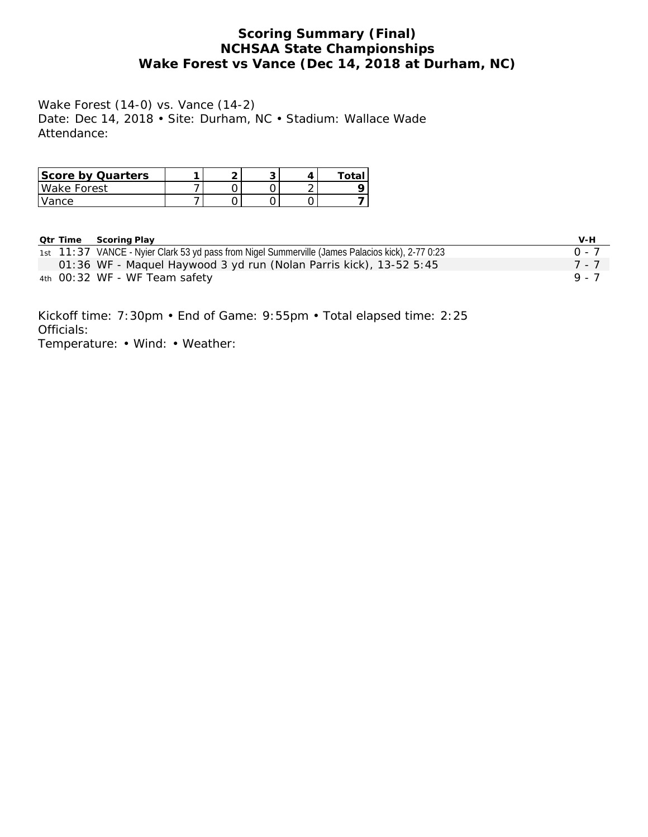# **Scoring Summary (Final) NCHSAA State Championships Wake Forest vs Vance (Dec 14, 2018 at Durham, NC)**

Wake Forest (14-0) vs. Vance (14-2) Date: Dec 14, 2018 • Site: Durham, NC • Stadium: Wallace Wade Attendance:

| Score by Quarters |  |  | ⊤ota∟ |
|-------------------|--|--|-------|
| Wake Forest       |  |  |       |
| l Vance           |  |  |       |

| Qtr Time | Scoring Play                                                                                     | V-H     |
|----------|--------------------------------------------------------------------------------------------------|---------|
|          | 1st 11:37 VANCE - Nyier Clark 53 yd pass from Nigel Summerville (James Palacios kick), 2-77 0:23 | $0 - 7$ |
|          | 01:36 WF - Maquel Haywood 3 yd run (Nolan Parris kick), 13-52 5:45                               | 7 - 7   |
|          | 4th 00:32 WF - WF Team safety                                                                    | 9.7     |

Kickoff time: 7:30pm • End of Game: 9:55pm • Total elapsed time: 2:25 Officials: Temperature: • Wind: • Weather: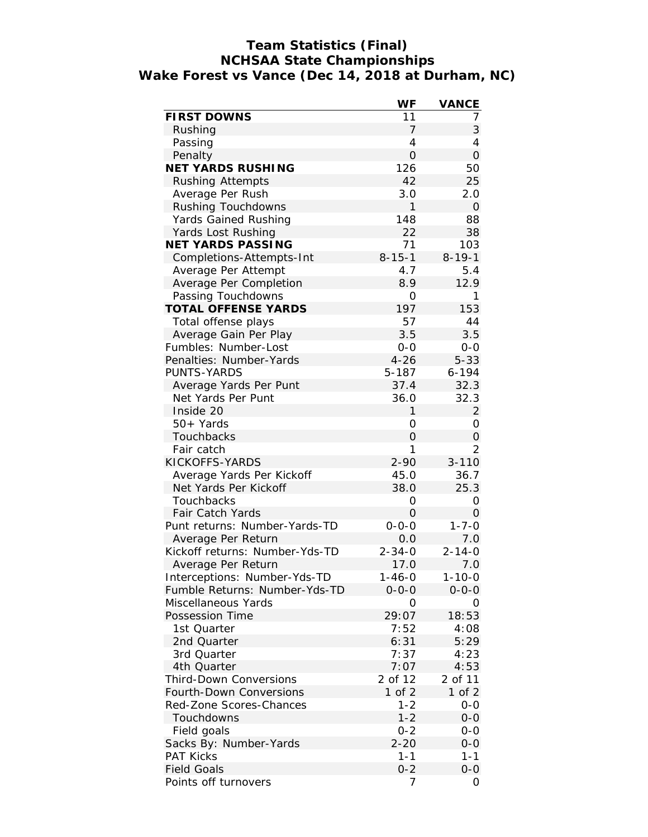### **Team Statistics (Final) NCHSAA State Championships Wake Forest vs Vance (Dec 14, 2018 at Durham, NC)**

|                                | WF             | VANCE                 |
|--------------------------------|----------------|-----------------------|
| <b>FIRST DOWNS</b>             | 11             | 7                     |
| Rushing                        | 7              | 3                     |
| Passing                        | $\overline{4}$ | 4                     |
| Penalty                        | $\overline{O}$ | $\overline{O}$        |
| NET YARDS RUSHING              | 126            | 50                    |
| <b>Rushing Attempts</b>        | 42             | 25                    |
| Average Per Rush               | 3.0            | 2.0                   |
| Rushing Touchdowns             | $\mathbf{1}$   | $\mathbf 0$           |
| Yards Gained Rushing           | 148            | 88                    |
| Yards Lost Rushing             | 22             | 38                    |
| NET YARDS PASSING              | 71             | 103                   |
| Completions-Attempts-Int       | $8 - 15 - 1$   | $8 - 19 - 1$          |
| Average Per Attempt            | 4.7            | 5.4                   |
| Average Per Completion         | 8.9            | 12.9                  |
| Passing Touchdowns             | 0              | 1                     |
| TOTAL OFFENSE YARDS            | 197            | 153                   |
| Total offense plays            | 57             | 44                    |
| Average Gain Per Play          | 3.5            | 3.5                   |
| Fumbles: Number-Lost           | $0 - 0$        | $0 - 0$               |
| Penalties: Number-Yards        | $4 - 26$       | $5 - 33$              |
| <b>PUNTS-YARDS</b>             | 5-187          | $6 - 194$             |
| Average Yards Per Punt         | 37.4           | 32.3                  |
| Net Yards Per Punt             | 36.0           | 32.3                  |
| Inside 20                      | 1              | 2                     |
| 50+ Yards                      | 0              | 0                     |
| Touchbacks                     | 0              | 0                     |
| Fair catch                     | 1              | 2                     |
| KICKOFFS-YARDS                 | $2 - 90$       | $3 - 110$             |
| Average Yards Per Kickoff      | 45.0           | 36.7                  |
| Net Yards Per Kickoff          | 38.0           | 25.3                  |
| Touchbacks                     | O              | O                     |
| Fair Catch Yards               | 0              | $\Omega$              |
| Punt returns: Number-Yards-TD  | $0 - 0 - 0$    | $1 - 7 - 0$           |
| Average Per Return             | 0.0            | 7.0                   |
| Kickoff returns: Number-Yds-TD | $2 - 34 - 0$   | $2 - 14 - 0$          |
| Average Per Return             | 17.0           | 7.0                   |
| Interceptions: Number-Yds-TD   | 1-46-0         | 1-10-0                |
| Fumble Returns: Number-Yds-TD  | $0 - 0 - 0$    | $0 - 0 - 0$           |
| Miscellaneous Yards            | 0              | O                     |
| Possession Time                | 29:07          | 18:53                 |
| 1st Quarter                    | 7:52           | 4:08                  |
| 2nd Quarter                    | 6:31           | 5:29                  |
| 3rd Quarter                    | 7:37           | 4:23                  |
|                                | 7:07           | 4:53                  |
| 4th Quarter                    | 2 of 12        |                       |
| <b>Third-Down Conversions</b>  |                | 2 of 11<br>$1$ of $2$ |
| Fourth-Down Conversions        | $1$ of $2$     |                       |
| Red-Zone Scores-Chances        | $1 - 2$        | $0-0$                 |
| Touchdowns                     | $1 - 2$        | $0 - 0$               |
| Field goals                    | $0 - 2$        | $0-0$                 |
| Sacks By: Number-Yards         | $2 - 20$       | $0 - 0$               |
| <b>PAT Kicks</b>               | $1 - 1$        | $1 - 1$               |
| <b>Field Goals</b>             | $0 - 2$        | $0-0$                 |
| Points off turnovers           | 7              | 0                     |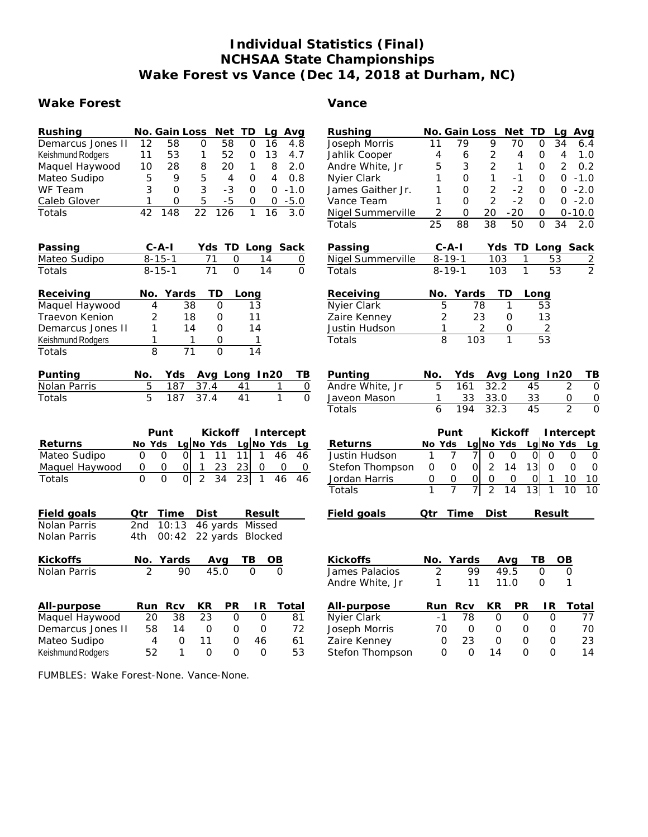# **Individual Statistics (Final) NCHSAA State Championships Wake Forest vs Vance (Dec 14, 2018 at Durham, NC)**

### **Wake Forest Vance**

| Rushing                  |                 | No. Gain Loss                    |                  | Net             | TD                   | Lq              | Avg            | Rushing           |                | No. Gain Loss                   |                 | Net           | TD                  | Avg<br>Lq                        |
|--------------------------|-----------------|----------------------------------|------------------|-----------------|----------------------|-----------------|----------------|-------------------|----------------|---------------------------------|-----------------|---------------|---------------------|----------------------------------|
| Demarcus Jones II        | $\overline{12}$ | $\overline{58}$                  | $\mathbf 0$      | $\overline{58}$ | $\mathbf 0$          | $\overline{16}$ | 4.8            | Joseph Morris     | 11             | 79                              | 9               | 70            | 0                   | 34<br>6.4                        |
| Keishmund Rodgers        | 11              | 53                               | 1                | 52              | 0                    | 13              | 4.7            | Jahlik Cooper     | 4              | 6                               | 2               | 4             | $\circ$             | 4<br>1.0                         |
| Maquel Haywood           | 10              | 28                               | 8                | 20              | 1                    | 8               | 2.0            | Andre White, Jr   | 5              | 3                               | $\overline{2}$  | 1             | $\circ$             | $\overline{2}$<br>0.2            |
| Mateo Sudipo             | 5               | 9                                | 5                | $\overline{4}$  | 0                    | 4               | 0.8            | Nyier Clark       | 1              | $\Omega$                        | $\mathbf{1}$    | $-1$          | O                   | 0<br>$-1.0$                      |
| WF Team                  | 3               | $\overline{O}$                   | 3                | $-3$            | $\mathbf 0$          | $\mathbf 0$     | $-1.0$         | James Gaither Jr. | 1              | $\mathbf{O}$                    | 2               | $-2$          | $\Omega$            | $-2.0$<br>0                      |
| Caleb Glover             | 1               | $\mathbf{O}$                     | 5                | $-5$            | $\overline{O}$       | $\mathbf 0$     | $-5.0$         | Vance Team        | 1              | $\Omega$                        | $\overline{2}$  | $-2$          | $\Omega$            | $-2.0$<br>0                      |
| Totals                   | $\overline{42}$ | 148                              | $\overline{22}$  | 126             | $\mathbf{1}$         | 16              | 3.0            | Nigel Summerville | $\overline{2}$ | $\mathbf 0$                     | 20              | $-20$         | 0                   | $0 - 10.0$                       |
|                          |                 |                                  |                  |                 |                      |                 |                | Totals            | 25             | 88                              | $\overline{38}$ | 50            | $\mathbf 0$         | 34<br>2.0                        |
| Passing                  |                 | $C-A-I$                          |                  |                 | Yds TD Long Sack     |                 |                | Passing           |                | $C - A - I$                     |                 |               |                     | Yds TD Long Sack                 |
| Mateo Sudipo             |                 | $8 - 15 - 1$                     | 71               | 0               |                      | 14              | 0              | Nigel Summerville |                | $8 - 19 - 1$                    | 103             | 1             | 53                  | $\frac{2}{2}$                    |
| Totals                   |                 | $8 - 15 - 1$                     | $\overline{71}$  | $\overline{0}$  |                      | 14              | $\Omega$       | Totals            |                | $8 - 19 - 1$                    | 103             | $\mathbf{1}$  | $\overline{53}$     |                                  |
| Receiving                | No.             | Yards                            | TD               |                 | Long                 |                 |                | Receiving         | No.            | Yards                           | TD              |               | Long                |                                  |
| Maquel Haywood           | 4               | 38                               | 0                |                 | 13                   |                 |                | Nyier Clark       | 5              | 78                              |                 | 1             | 53                  |                                  |
| Traevon Kenion           | $\overline{2}$  | 18                               | 0                |                 | 11                   |                 |                | Zaire Kenney      | 2              | 23                              |                 | $\mathbf 0$   | 13                  |                                  |
| Demarcus Jones II        | 1               | 14                               | 0                |                 | 14                   |                 |                | Justin Hudson     | 1              |                                 | 2               | 0             | $\overline{2}$      |                                  |
| Keishmund Rodgers        | 1               |                                  | 1                | 0               | $\mathbf{1}$         |                 |                | Totals            | 8              | 103                             |                 | 1             | 53                  |                                  |
| Totals                   | 8               | $\overline{71}$                  | $\overline{O}$   |                 | 14                   |                 |                |                   |                |                                 |                 |               |                     |                                  |
| Punting                  | No.             | Yds                              | Avg Long In20    |                 |                      |                 | TВ             | Punting           | No.            | Yds                             |                 | Avg Long In20 |                     | TВ                               |
| Nolan Parris             | 5               | 187                              | 37.4             |                 | 41                   | 1               | $\mathbf 0$    | Andre White, Jr   | 5              | 161                             | 32.2            |               | 45                  | $\overline{2}$<br>$\mathbf 0$    |
| Totals                   | $\overline{5}$  | 187                              | 37.4             |                 | $\overline{41}$      | $\overline{1}$  | $\overline{0}$ | Javeon Mason      | 1              | 33                              | 33.0            |               | 33                  | 0<br>$\mathbf 0$                 |
|                          |                 |                                  |                  |                 |                      |                 |                | Totals            | 6              | 194                             | 32.3            |               | $\overline{45}$     | $\overline{2}$<br>$\overline{0}$ |
|                          |                 | Punt                             |                  | Kickoff         |                      |                 | Intercept      |                   |                | Punt                            |                 | Kickoff       |                     | Intercept                        |
| Returns                  | No Yds          |                                  | Lg No Yds        |                 | La No Yds            |                 | Lg             | Returns           | No Yds         |                                 | Lg No Yds       |               | Lg No Yds           | Lg                               |
| Mateo Sudipo             | $\overline{0}$  | $\overline{0}$<br>$\Omega$       | $\mathbf{1}$     | 11              | 11<br>$\mathbf{1}$   | 46              | 46             | Justin Hudson     | 1              | 7<br>7                          | $\mathcal{O}$   | $\mathbf 0$   | $\Omega$<br>0       | $\overline{O}$<br>$\Omega$       |
| Maquel Haywood           | 0               | $\overline{O}$<br>0              | -1               | 23              | 23<br>0              |                 | 0<br>0         | Stefon Thompson   | 0              | $\mathcal{O}$<br>$\overline{O}$ | 2               | 13<br>14      | 0                   | $\Omega$<br>$\mathbf 0$          |
| Totals                   | $\Omega$        | $\overline{0}$<br>$\overline{0}$ | $\overline{2}$   | $\overline{34}$ | 23<br>$\overline{1}$ | 46              | 46             | Jordan Harris     | 0              | $\overline{O}$<br>0             | $\mathbf{O}$    | 0             | 0<br>1              | 10<br>10                         |
|                          |                 |                                  |                  |                 |                      |                 |                | Totals            | 1              | $\overline{7}$<br>7             | $\overline{2}$  | 14            | 13 <br>$\mathbf{1}$ | 10<br>10                         |
| Field goals              | Qtr             | Time                             | Dist             |                 | Result               |                 |                | Field goals       | Qtr            | Time                            | <b>Dist</b>     |               | Result              |                                  |
| Nolan Parris             | 2 <sub>nd</sub> | 10:13                            | 46 yards Missed  |                 |                      |                 |                |                   |                |                                 |                 |               |                     |                                  |
| Nolan Parris             | 4th             | 00:42                            | 22 yards Blocked |                 |                      |                 |                |                   |                |                                 |                 |               |                     |                                  |
| Kickoffs                 |                 | No. Yards                        | Avg              |                 | TВ                   | OB              |                | Kickoffs          | No.            | Yards                           |                 | Avg           | TВ                  | OB                               |
| Nolan Parris             | $\overline{2}$  | 90                               | 45.0             |                 | $\Omega$             | $\Omega$        |                | James Palacios    | 2              | 99                              |                 | 49.5          | $\mathbf 0$         | 0                                |
|                          |                 |                                  |                  |                 |                      |                 |                | Andre White, Jr   | $\mathbf{1}$   | 11                              |                 | 11.0          | $\Omega$            | 1                                |
| All-purpose              | Run             | <b>Rcv</b>                       | KR               | PR              | IR                   |                 | Total          | All-purpose       | Run            | Rcv                             | KR              | PR            | IR                  | Total                            |
| Maquel Haywood           | 20              | 38                               | 23               | 0               | $\mathbf 0$          |                 | 81             | Nyier Clark       | $-1$           | 78                              | 0               | 0             | $\mathbf 0$         | 77                               |
| Demarcus Jones II        | 58              | 14                               | $\mathbf 0$      | 0               | $\mathbf 0$          |                 | 72             | Joseph Morris     | 70             | 0                               | $\circ$         | 0             | 0                   | 70                               |
| Mateo Sudipo             | 4               | 0                                | 11               | O               | 46                   |                 | 61             | Zaire Kenney      | 0              | 23                              | 0               | 0             | 0                   | 23                               |
| <b>Keishmund Rodgers</b> | 52              | $\mathbf{1}$                     | $\Omega$         | $\Omega$        | $\Omega$             |                 | 53             | Stefon Thompson   | $\Omega$       | $\Omega$                        | 14              | $\Omega$      | $\Omega$            | 14                               |

FUMBLES: Wake Forest-None. Vance-None.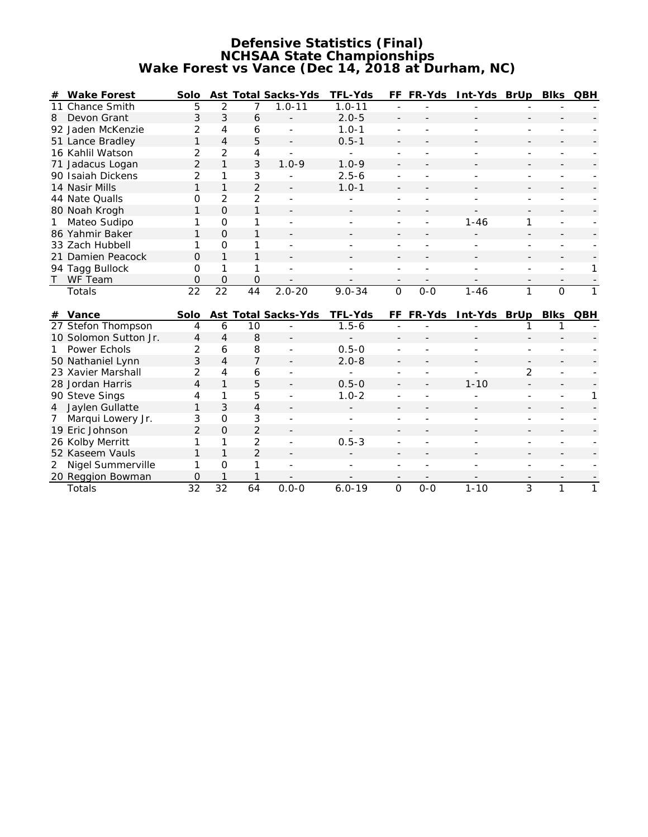### **Defensive Statistics (Final) NCHSAA State Championships Wake Forest vs Vance (Dec 14, 2018 at Durham, NC)**

| #              | Wake Forest           | Solo                |                 |                | Ast Total Sacks-Yds      | TFL-Yds                  |                          | FF FR-Yds | Int-Yds BrUp |                | Blks     | QBH |
|----------------|-----------------------|---------------------|-----------------|----------------|--------------------------|--------------------------|--------------------------|-----------|--------------|----------------|----------|-----|
|                | 11 Chance Smith       | 5                   | 2               | $\overline{7}$ | $1.0 - 11$               | $1.0 - 11$               |                          |           |              |                |          |     |
| 8              | Devon Grant           | 3                   | 3               | 6              |                          | $2.0 - 5$                | $\overline{\phantom{a}}$ |           |              |                |          |     |
|                | 92 Jaden McKenzie     | 2                   | 4               | 6              |                          | $1.0 - 1$                |                          |           |              |                |          |     |
|                | 51 Lance Bradley      | 1                   | $\overline{4}$  | 5              | $\overline{\phantom{a}}$ | $0.5 - 1$                |                          |           |              |                |          |     |
|                | 16 Kahlil Watson      | $\overline{2}$      | 2               | 4              |                          | ٠                        |                          |           |              |                |          |     |
|                | 71 Jadacus Logan      | $\overline{2}$      | $\mathbf{1}$    | 3              | $1.0 - 9$                | $1.0 - 9$                |                          |           |              |                |          |     |
|                | 90 Isaiah Dickens     | $\overline{2}$      | 1               | 3              |                          | $2.5 - 6$                |                          |           |              |                |          |     |
|                | 14 Nasir Mills        | $\mathbf{1}$        | $\mathbf{1}$    | $\overline{2}$ |                          | $1.0 - 1$                |                          |           |              |                |          |     |
|                | 44 Nate Qualls        | 0                   | $\overline{2}$  | 2              |                          |                          |                          |           |              |                |          |     |
|                | 80 Noah Krogh         | 1                   | $\overline{O}$  | 1              |                          |                          |                          |           |              |                |          |     |
| 1              | Mateo Sudipo          | 1                   | $\Omega$        | 1              |                          |                          |                          |           | $1 - 46$     | 1              |          |     |
|                | 86 Yahmir Baker       | 1                   | $\Omega$        | 1              |                          |                          |                          |           |              |                |          |     |
|                | 33 Zach Hubbell       | 1                   | $\Omega$        | 1              |                          |                          |                          |           |              |                |          |     |
|                | 21 Damien Peacock     | $\Omega$            | $\mathbf{1}$    | 1              |                          |                          |                          |           |              |                |          |     |
|                | 94 Tagg Bullock       | $\overline{O}$      | 1               | 1              |                          |                          |                          |           |              |                |          | 1   |
| $\mathsf{T}$   | WF Team               | 0                   | $\Omega$        | 0              |                          |                          | $\qquad \qquad -$        |           |              |                |          |     |
|                |                       |                     | $\overline{22}$ | 44             | $2.0 - 20$               | $9.0 - 34$               | $\Omega$                 | $O - O$   | $1 - 46$     | $\mathbf{1}$   | $\Omega$ | 1   |
|                | Totals                | $\overline{22}$     |                 |                |                          |                          |                          |           |              |                |          |     |
|                |                       |                     |                 |                |                          |                          |                          |           |              |                |          |     |
|                | # Vance               | Solo                |                 |                | Ast Total Sacks-Yds      | TFL-Yds                  |                          | FF FR-Yds | Int-Yds BrUp |                | Blks     | QBH |
|                | 27 Stefon Thompson    | 4                   | 6               | 10             |                          | $1.5 - 6$                |                          |           |              |                |          |     |
|                | 10 Solomon Sutton Jr. | $\overline{4}$      | $\overline{4}$  | 8              |                          |                          |                          |           |              |                |          |     |
| $\mathbf{1}$   | Power Echols          | $\overline{2}$      | 6               | 8              |                          | $0.5 - 0$                |                          |           |              |                |          |     |
|                | 50 Nathaniel Lynn     | 3                   | $\overline{4}$  | $\overline{7}$ |                          | $2.0 - 8$                |                          |           |              | $\blacksquare$ |          |     |
|                | 23 Xavier Marshall    | $\overline{2}$      | 4               | 6              |                          |                          |                          |           |              | $\overline{2}$ |          |     |
|                | 28 Jordan Harris      | $\overline{4}$      | $\mathbf{1}$    | 5              |                          | $0.5 - 0$                |                          |           | $1 - 10$     |                |          |     |
|                | 90 Steve Sings        | 4                   | 1               | 5              |                          | $1.0 - 2$                |                          |           |              |                |          | 1   |
| $\overline{4}$ | Jaylen Gullatte       | 1                   | 3               | 4              |                          | $\overline{\phantom{0}}$ |                          |           |              |                |          |     |
| 7              | Marqui Lowery Jr.     | 3                   | O               | 3              |                          |                          |                          |           |              |                |          |     |
|                | 19 Eric Johnson       | $\overline{2}$      | $\Omega$        | $\overline{2}$ |                          |                          |                          |           |              |                |          |     |
|                | 26 Kolby Merritt      | 1                   | 1               | 2              |                          | $0.5 - 3$                |                          |           |              |                |          |     |
|                | 52 Kaseem Vauls       | $\mathbf{1}$        | $\mathbf{1}$    | $\overline{2}$ |                          |                          |                          |           |              |                |          |     |
| 2              | Nigel Summerville     | 1                   | $\overline{O}$  | 1              |                          |                          |                          |           |              |                |          |     |
|                | 20 Reggion Bowman     | $\mathcal{O}$<br>32 | 1<br>32         | 1              |                          |                          |                          |           |              | 3              |          |     |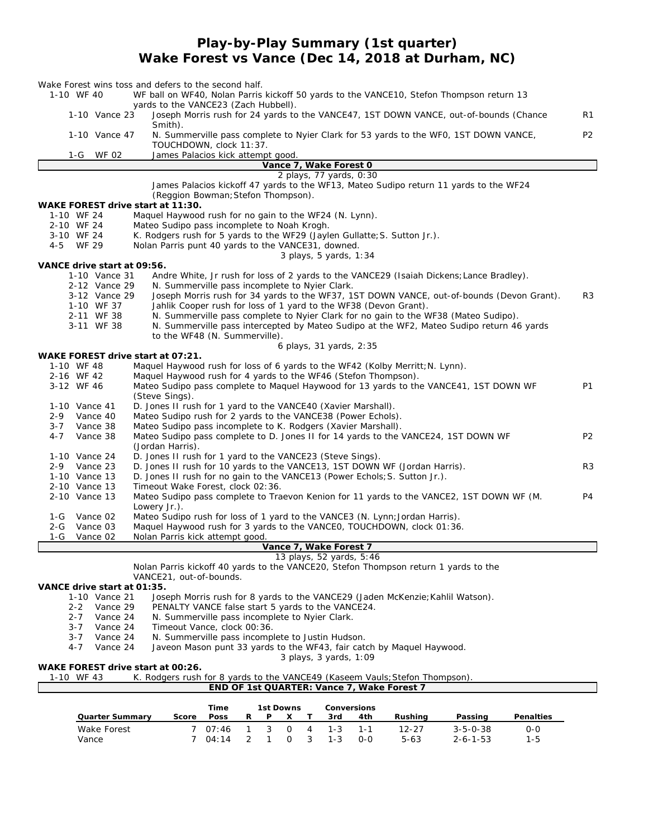## **Play-by-Play Summary (1st quarter) Wake Forest vs Vance (Dec 14, 2018 at Durham, NC)**

|                             |               | Wake Forest wins toss and defers to the second half.                                                                                                |                |
|-----------------------------|---------------|-----------------------------------------------------------------------------------------------------------------------------------------------------|----------------|
| 1-10 WF 40                  |               | WF ball on WF40, Nolan Parris kickoff 50 yards to the VANCE10, Stefon Thompson return 13                                                            |                |
|                             |               | yards to the VANCE23 (Zach Hubbell).                                                                                                                |                |
|                             | 1-10 Vance 23 | Joseph Morris rush for 24 yards to the VANCE47, 1ST DOWN VANCE, out-of-bounds (Chance<br>Smith).                                                    | R1             |
|                             | 1-10 Vance 47 | N. Summerville pass complete to Nyier Clark for 53 yards to the WFO, 1ST DOWN VANCE,<br>TOUCHDOWN, clock 11:37.                                     | P <sub>2</sub> |
| 1-G                         | WF 02         | James Palacios kick attempt good.                                                                                                                   |                |
|                             |               | Vance 7, Wake Forest 0                                                                                                                              |                |
|                             |               | 2 plays, 77 yards, 0:30                                                                                                                             |                |
|                             |               | James Palacios kickoff 47 yards to the WF13, Mateo Sudipo return 11 yards to the WF24                                                               |                |
|                             |               | (Reggion Bowman; Stefon Thompson).                                                                                                                  |                |
|                             |               | WAKE FOREST drive start at 11:30.                                                                                                                   |                |
| 1-10 WF 24                  |               | Maquel Haywood rush for no gain to the WF24 (N. Lynn).                                                                                              |                |
| 2-10 WF 24<br>3-10 WF 24    |               | Mateo Sudipo pass incomplete to Noah Krogh.<br>K. Rodgers rush for 5 yards to the WF29 (Jaylen Gullatte; S. Sutton Jr.).                            |                |
| 4-5 WF 29                   |               | Nolan Parris punt 40 yards to the VANCE31, downed.                                                                                                  |                |
|                             |               | 3 plays, 5 yards, 1:34                                                                                                                              |                |
| VANCE drive start at 09:56. |               |                                                                                                                                                     |                |
|                             | 1-10 Vance 31 | Andre White, Jr rush for loss of 2 yards to the VANCE29 (Isaiah Dickens; Lance Bradley).                                                            |                |
|                             | 2-12 Vance 29 | N. Summerville pass incomplete to Nyier Clark.                                                                                                      |                |
|                             | 3-12 Vance 29 | Joseph Morris rush for 34 yards to the WF37, 1ST DOWN VANCE, out-of-bounds (Devon Grant).                                                           | R3             |
|                             | 1-10 WF 37    | Jahlik Cooper rush for loss of 1 yard to the WF38 (Devon Grant).                                                                                    |                |
|                             | 2-11 WF 38    | N. Summerville pass complete to Nyier Clark for no gain to the WF38 (Mateo Sudipo).                                                                 |                |
|                             | 3-11 WF 38    | N. Summerville pass intercepted by Mateo Sudipo at the WF2, Mateo Sudipo return 46 yards                                                            |                |
|                             |               | to the WF48 (N. Summerville).                                                                                                                       |                |
|                             |               | 6 plays, 31 yards, 2:35                                                                                                                             |                |
|                             |               | WAKE FOREST drive start at 07:21.                                                                                                                   |                |
| 1-10 WF 48                  |               | Maquel Haywood rush for loss of 6 yards to the WF42 (Kolby Merritt; N. Lynn).                                                                       |                |
| 2-16 WF 42                  |               | Maquel Haywood rush for 4 yards to the WF46 (Stefon Thompson).                                                                                      |                |
| 3-12 WF 46                  |               | Mateo Sudipo pass complete to Maquel Haywood for 13 yards to the VANCE41, 1ST DOWN WF                                                               | P1             |
|                             |               | (Steve Sings).                                                                                                                                      |                |
| 1-10 Vance 41               |               | D. Jones II rush for 1 yard to the VANCE40 (Xavier Marshall).                                                                                       |                |
| 2-9                         | Vance 40      | Mateo Sudipo rush for 2 yards to the VANCE38 (Power Echols).                                                                                        |                |
| $3 - 7$                     | Vance 38      | Mateo Sudipo pass incomplete to K. Rodgers (Xavier Marshall).<br>Mateo Sudipo pass complete to D. Jones II for 14 yards to the VANCE24, 1ST DOWN WF | P <sub>2</sub> |
| 4-7                         | Vance 38      | (Jordan Harris).                                                                                                                                    |                |
| 1-10 Vance 24               |               | D. Jones II rush for 1 yard to the VANCE23 (Steve Sings).                                                                                           |                |
| 2-9 Vance 23                |               | D. Jones II rush for 10 yards to the VANCE13, 1ST DOWN WF (Jordan Harris).                                                                          | R3             |
| 1-10 Vance 13               |               | D. Jones II rush for no gain to the VANCE13 (Power Echols; S. Sutton Jr.).                                                                          |                |
| 2-10 Vance 13               |               | Timeout Wake Forest, clock 02:36.                                                                                                                   |                |
| 2-10 Vance 13               |               | Mateo Sudipo pass complete to Traevon Kenion for 11 yards to the VANCE2, 1ST DOWN WF (M.                                                            | P4             |
|                             |               | Lowery Jr.).                                                                                                                                        |                |
| 1-G                         | Vance 02      | Mateo Sudipo rush for loss of 1 yard to the VANCE3 (N. Lynn; Jordan Harris).                                                                        |                |
| 2-G                         | Vance 03      | Maquel Haywood rush for 3 yards to the VANCEO, TOUCHDOWN, clock 01:36.                                                                              |                |
| 1-G                         | Vance 02      | Nolan Parris kick attempt good.                                                                                                                     |                |
|                             |               | Vance 7, Wake Forest 7                                                                                                                              |                |
|                             |               | 13 plays, 52 yards, 5:46                                                                                                                            |                |
|                             |               | Nolan Parris kickoff 40 yards to the VANCE20, Stefon Thompson return 1 yards to the                                                                 |                |
|                             |               | VANCE21, out-of-bounds.                                                                                                                             |                |
| VANCE drive start at 01:35. |               |                                                                                                                                                     |                |
|                             | 1-10 Vance 21 | Joseph Morris rush for 8 yards to the VANCE29 (Jaden McKenzie; Kahlil Watson).                                                                      |                |
| $2 - 2$                     | Vance 29      | PENALTY VANCE false start 5 yards to the VANCE24.                                                                                                   |                |
| 2-7                         | Vance 24      | N. Summerville pass incomplete to Nyier Clark.                                                                                                      |                |
| $3 - 7$                     | Vance 24      | Timeout Vance, clock 00:36.                                                                                                                         |                |
| 3-7                         | Vance 24      | N. Summerville pass incomplete to Justin Hudson.                                                                                                    |                |
| 4-7                         | Vance 24      | Javeon Mason punt 33 yards to the WF43, fair catch by Maquel Haywood.                                                                               |                |
|                             |               | 3 plays, 3 vards, 1:09<br>WAKE FOREST drive start at 00:26.                                                                                         |                |
| 1-10 WF 43                  |               | K. Rodgers rush for 8 yards to the VANCE49 (Kaseem Vauls; Stefon Thompson)                                                                          |                |
|                             |               | END OF 1st QUARTER: Vance 7, Wake Forest 7                                                                                                          |                |
|                             |               |                                                                                                                                                     |                |
|                             |               | Time<br>1st Downs<br>Conversions                                                                                                                    |                |
|                             |               | Doce                                                                                                                                                |                |

|                 |       | Time          | 1st Downs |     |  | Conversions  |     |           |                  |           |
|-----------------|-------|---------------|-----------|-----|--|--------------|-----|-----------|------------------|-----------|
| Quarter Summary | Score | Poss          |           |     |  | 3rd          | 4th | Rushina   | Passing          | Penalties |
| Wake Forest     |       | 07:46         |           | - റ |  | $4 \t 1 - 3$ |     | $12 - 27$ | $3 - 5 - 0 - 38$ | 0-0       |
| Vance           |       | $04 \cdot 14$ |           |     |  | $1 - 3$      | 0-0 | 5-63      | $2 - 6 - 1 - 53$ | 1-5       |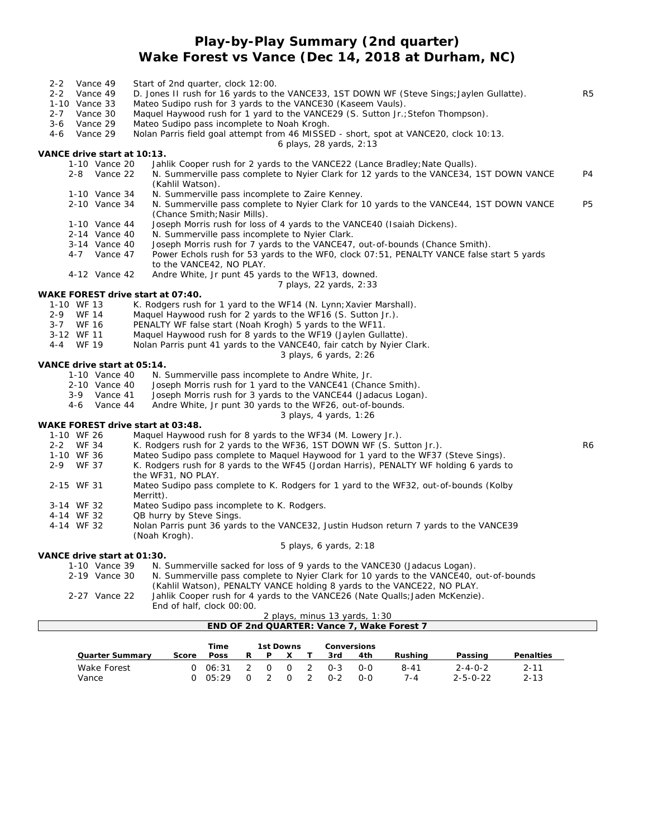## **Play-by-Play Summary (2nd quarter) Wake Forest vs Vance (Dec 14, 2018 at Durham, NC)**

| $2 - 2$ |              | Vance 49                    | Start of 2nd quarter, clock 12:00.                                                                                                                      |                |
|---------|--------------|-----------------------------|---------------------------------------------------------------------------------------------------------------------------------------------------------|----------------|
| $2 - 2$ |              | Vance 49                    | D. Jones II rush for 16 yards to the VANCE33, 1ST DOWN WF (Steve Sings; Jaylen Gullatte).                                                               | R <sub>5</sub> |
| $2 - 7$ |              | 1-10 Vance 33<br>Vance 30   | Mateo Sudipo rush for 3 yards to the VANCE30 (Kaseem Vauls).                                                                                            |                |
| 3-6     |              | Vance 29                    | Maquel Haywood rush for 1 yard to the VANCE29 (S. Sutton Jr.; Stefon Thompson).<br>Mateo Sudipo pass incomplete to Noah Krogh.                          |                |
| $4 - 6$ |              | Vance 29                    | Nolan Parris field goal attempt from 46 MISSED - short, spot at VANCE20, clock 10:13.                                                                   |                |
|         |              |                             | 6 plays, 28 yards, 2:13                                                                                                                                 |                |
|         |              | VANCE drive start at 10:13. |                                                                                                                                                         |                |
|         |              | 1-10 Vance 20               | Jahlik Cooper rush for 2 yards to the VANCE22 (Lance Bradley; Nate Qualls).                                                                             |                |
|         |              | 2-8 Vance 22                | N. Summerville pass complete to Nyier Clark for 12 yards to the VANCE34, 1ST DOWN VANCE<br>(Kahlil Watson).                                             | P <sub>4</sub> |
|         |              | 1-10 Vance 34               | N. Summerville pass incomplete to Zaire Kenney.                                                                                                         |                |
|         |              | 2-10 Vance 34               | N. Summerville pass complete to Nyier Clark for 10 yards to the VANCE44, 1ST DOWN VANCE<br>(Chance Smith; Nasir Mills).                                 | <b>P5</b>      |
|         |              | 1-10 Vance 44               | Joseph Morris rush for loss of 4 yards to the VANCE40 (Isaiah Dickens).                                                                                 |                |
|         |              | 2-14 Vance 40               | N. Summerville pass incomplete to Nyier Clark.                                                                                                          |                |
|         |              | 3-14 Vance 40               | Joseph Morris rush for 7 yards to the VANCE47, out-of-bounds (Chance Smith).                                                                            |                |
|         |              | 4-7 Vance 47                | Power Echols rush for 53 yards to the WFO, clock 07:51, PENALTY VANCE false start 5 yards                                                               |                |
|         |              | 4-12 Vance 42               | to the VANCE42, NO PLAY.<br>Andre White, Jr punt 45 yards to the WF13, downed.                                                                          |                |
|         |              |                             | 7 plays, 22 yards, 2:33                                                                                                                                 |                |
|         |              |                             | WAKE FOREST drive start at 07:40.                                                                                                                       |                |
|         | 1-10 WF 13   |                             | K. Rodgers rush for 1 yard to the WF14 (N. Lynn; Xavier Marshall).                                                                                      |                |
| $2 - 9$ | <b>WF 14</b> |                             | Maquel Haywood rush for 2 yards to the WF16 (S. Sutton Jr.).                                                                                            |                |
|         | 3-7 WF 16    |                             | PENALTY WF false start (Noah Krogh) 5 yards to the WF11.                                                                                                |                |
|         | 3-12 WF 11   |                             | Maquel Haywood rush for 8 yards to the WF19 (Jaylen Gullatte).                                                                                          |                |
|         | 4-4 WF 19    |                             | Nolan Parris punt 41 yards to the VANCE40, fair catch by Nyier Clark.                                                                                   |                |
|         |              |                             | 3 plays, 6 yards, 2:26                                                                                                                                  |                |
|         |              | VANCE drive start at 05:14. |                                                                                                                                                         |                |
|         |              | 1-10 Vance 40               | N. Summerville pass incomplete to Andre White, Jr.                                                                                                      |                |
|         |              | 2-10 Vance 40               | Joseph Morris rush for 1 yard to the VANCE41 (Chance Smith).                                                                                            |                |
|         | 4-6          | 3-9 Vance 41<br>Vance 44    | Joseph Morris rush for 3 yards to the VANCE44 (Jadacus Logan).                                                                                          |                |
|         |              |                             | Andre White, Jr punt 30 yards to the WF26, out-of-bounds.<br>3 plays, 4 yards, 1:26                                                                     |                |
|         |              |                             | WAKE FOREST drive start at 03:48.                                                                                                                       |                |
|         | 1-10 WF 26   |                             | Maquel Haywood rush for 8 yards to the WF34 (M. Lowery Jr.).                                                                                            |                |
|         | 2-2 WF 34    |                             | K. Rodgers rush for 2 yards to the WF36, 1ST DOWN WF (S. Sutton Jr.).                                                                                   | R6             |
|         | 1-10 WF 36   |                             | Mateo Sudipo pass complete to Maguel Haywood for 1 yard to the WF37 (Steve Sings).                                                                      |                |
|         | 2-9 WF 37    |                             | K. Rodgers rush for 8 yards to the WF45 (Jordan Harris), PENALTY WF holding 6 yards to<br>the WF31, NO PLAY.                                            |                |
|         | 2-15 WF 31   |                             | Mateo Sudipo pass complete to K. Rodgers for 1 yard to the WF32, out-of-bounds (Kolby<br>Merritt).                                                      |                |
|         | 3-14 WF 32   |                             | Mateo Sudipo pass incomplete to K. Rodgers.                                                                                                             |                |
|         | 4-14 WF 32   |                             | QB hurry by Steve Sings.                                                                                                                                |                |
|         | 4-14 WF 32   |                             | Nolan Parris punt 36 yards to the VANCE32, Justin Hudson return 7 yards to the VANCE39<br>(Noah Krogh).                                                 |                |
|         |              |                             | 5 plays, 6 yards, 2:18                                                                                                                                  |                |
|         |              | VANCE drive start at 01:30. |                                                                                                                                                         |                |
|         |              | 1-10 Vance 39               | N. Summerville sacked for loss of 9 yards to the VANCE30 (Jadacus Logan).                                                                               |                |
|         |              | 2-19 Vance 30               | N. Summerville pass complete to Nyier Clark for 10 yards to the VANCE40, out-of-bounds                                                                  |                |
|         |              | 2-27 Vance 22               | (Kahlil Watson), PENALTY VANCE holding 8 yards to the VANCE22, NO PLAY.<br>Jahlik Cooper rush for 4 yards to the VANCE26 (Nate Qualls; Jaden McKenzie). |                |
|         |              |                             | End of half, clock 00:00.                                                                                                                               |                |
|         |              |                             | $2n/2u$ minus $12$ varde $1.20$                                                                                                                         |                |

|                 |       |       |   |   |           | 2 plays, minus 13 vards, 1:30 |     |                                            |                 |           |  |
|-----------------|-------|-------|---|---|-----------|-------------------------------|-----|--------------------------------------------|-----------------|-----------|--|
|                 |       |       |   |   |           |                               |     | END OF 2nd QUARTER: Vance 7, Wake Forest 7 |                 |           |  |
|                 |       |       |   |   |           |                               |     |                                            |                 |           |  |
|                 |       | Time  |   |   | 1st Downs | Conversions                   |     |                                            |                 |           |  |
| Quarter Summary | Score | Poss  | R | D |           | 3rd                           | 4th | Rushina                                    | Passina         | Penalties |  |
| Wake Forest     | ∩     | 06:31 |   |   |           | $0 - 3$                       | റ-റ | $8 - 41$                                   | $2 - 4 - 0 - 2$ | $2 - 11$  |  |

Vance 0 05:29 0 2 0 2 0-2 0-0 7-4 2-5-0-22 2-13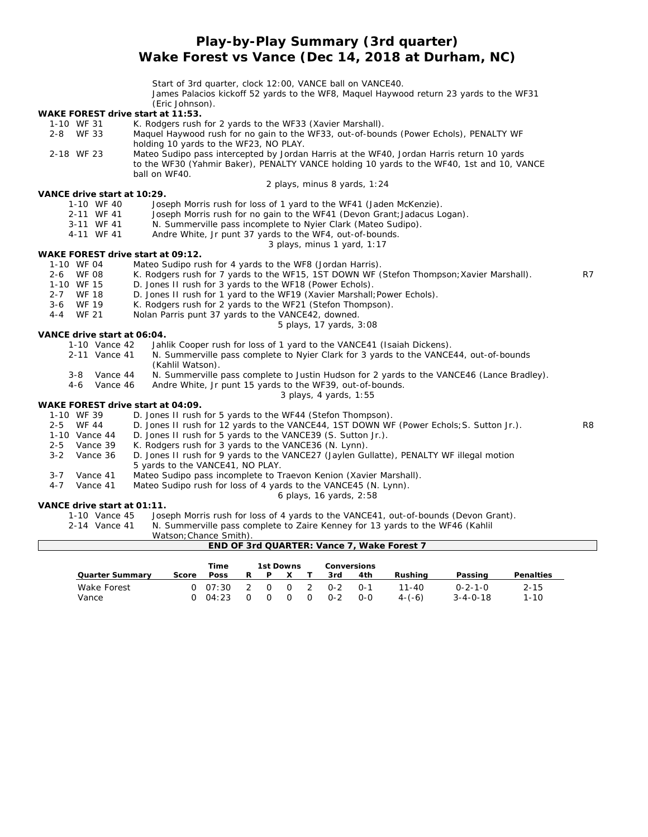**Play-by-Play Summary (3rd quarter)**

**Wake Forest vs Vance (Dec 14, 2018 at Durham, NC)**

Start of 3rd quarter, clock 12:00, VANCE ball on VANCE40.

James Palacios kickoff 52 yards to the WF8, Maquel Haywood return 23 yards to the WF31 (Eric Johnson).

| WAKE FOREST drive start at 11:53. | , _, , o Joi ,, , Joi , , , .                                                                                                                                        |                |
|-----------------------------------|----------------------------------------------------------------------------------------------------------------------------------------------------------------------|----------------|
| 1-10 WF 31                        | K. Rodgers rush for 2 yards to the WF33 (Xavier Marshall).                                                                                                           |                |
| 2-8 WF 33                         | Maquel Haywood rush for no gain to the WF33, out-of-bounds (Power Echols), PENALTY WF                                                                                |                |
|                                   | holding 10 yards to the WF23, NO PLAY.                                                                                                                               |                |
| 2-18 WF 23                        | Mateo Sudipo pass intercepted by Jordan Harris at the WF40, Jordan Harris return 10 yards                                                                            |                |
|                                   | to the WF30 (Yahmir Baker), PENALTY VANCE holding 10 yards to the WF40, 1st and 10, VANCE                                                                            |                |
|                                   | ball on WF40.                                                                                                                                                        |                |
|                                   | 2 plays, minus 8 yards, 1:24                                                                                                                                         |                |
| VANCE drive start at 10:29.       |                                                                                                                                                                      |                |
| 1-10 WF 40                        | Joseph Morris rush for loss of 1 yard to the WF41 (Jaden McKenzie).                                                                                                  |                |
| 2-11 WF 41                        | Joseph Morris rush for no gain to the WF41 (Devon Grant; Jadacus Logan).                                                                                             |                |
| 3-11 WF 41                        | N. Summerville pass incomplete to Nyier Clark (Mateo Sudipo).                                                                                                        |                |
| 4-11 WF 41                        | Andre White, Jr punt 37 yards to the WF4, out-of-bounds.                                                                                                             |                |
|                                   | 3 plays, minus 1 yard, 1:17                                                                                                                                          |                |
| WAKE FOREST drive start at 09:12. |                                                                                                                                                                      |                |
| 1-10 WF 04                        | Mateo Sudipo rush for 4 yards to the WF8 (Jordan Harris).                                                                                                            |                |
| 2-6 WF 08                         | K. Rodgers rush for 7 yards to the WF15, 1ST DOWN WF (Stefon Thompson; Xavier Marshall).                                                                             | R7             |
| 1-10 WF 15                        | D. Jones II rush for 3 yards to the WF18 (Power Echols).                                                                                                             |                |
| 2-7 WF 18                         | D. Jones II rush for 1 yard to the WF19 (Xavier Marshall; Power Echols).                                                                                             |                |
| 3-6<br>WF 19                      | K. Rodgers rush for 2 yards to the WF21 (Stefon Thompson).                                                                                                           |                |
| $4 - 4$<br>WF 21                  | Nolan Parris punt 37 yards to the VANCE42, downed.                                                                                                                   |                |
|                                   | 5 plays, 17 yards, 3:08                                                                                                                                              |                |
| VANCE drive start at 06:04.       |                                                                                                                                                                      |                |
| 1-10 Vance 42                     | Jahlik Cooper rush for loss of 1 yard to the VANCE41 (Isaiah Dickens).                                                                                               |                |
| 2-11 Vance 41                     | N. Summerville pass complete to Nyier Clark for 3 yards to the VANCE44, out-of-bounds                                                                                |                |
|                                   | (Kahlil Watson).                                                                                                                                                     |                |
| Vance 44<br>$3 - 8$               | N. Summerville pass complete to Justin Hudson for 2 yards to the VANCE46 (Lance Bradley).                                                                            |                |
| $4 - 6$<br>Vance 46               | Andre White, Jr punt 15 yards to the WF39, out-of-bounds.                                                                                                            |                |
|                                   | 3 plays, 4 yards, 1:55                                                                                                                                               |                |
| WAKE FOREST drive start at 04:09. |                                                                                                                                                                      |                |
| 1-10 WF 39                        | D. Jones II rush for 5 yards to the WF44 (Stefon Thompson).                                                                                                          |                |
| 2-5 WF 44                         | D. Jones II rush for 12 yards to the VANCE44, 1ST DOWN WF (Power Echols; S. Sutton Jr.).                                                                             | R <sub>8</sub> |
| 1-10 Vance 44                     | D. Jones II rush for 5 yards to the VANCE39 (S. Sutton Jr.).                                                                                                         |                |
| $2 - 5$<br>Vance 39               | K. Rodgers rush for 3 yards to the VANCE36 (N. Lynn).                                                                                                                |                |
| $3 - 2$<br>Vance 36               | D. Jones II rush for 9 yards to the VANCE27 (Jaylen Gullatte), PENALTY WF illegal motion                                                                             |                |
|                                   | 5 yards to the VANCE41, NO PLAY.                                                                                                                                     |                |
| Vance 41<br>$3 - 7$               | Mateo Sudipo pass incomplete to Traevon Kenion (Xavier Marshall).                                                                                                    |                |
| $4 - 7$<br>Vance 41               | Mateo Sudipo rush for loss of 4 yards to the VANCE45 (N. Lynn).                                                                                                      |                |
|                                   | 6 plays, 16 yards, 2:58                                                                                                                                              |                |
| VANCE drive start at 01:11.       |                                                                                                                                                                      |                |
|                                   |                                                                                                                                                                      |                |
|                                   |                                                                                                                                                                      |                |
|                                   | Watson; Chance Smith).                                                                                                                                               |                |
| 1-10 Vance 45<br>2-14 Vance 41    | Joseph Morris rush for loss of 4 yards to the VANCE41, out-of-bounds (Devon Grant).<br>N. Summerville pass complete to Zaire Kenney for 13 yards to the WF46 (Kahlil |                |

|                      |          | Time             |                            |          | 1st Downs |                        |                  | Conversions      |                         |                                     |                      |
|----------------------|----------|------------------|----------------------------|----------|-----------|------------------------|------------------|------------------|-------------------------|-------------------------------------|----------------------|
| Quarter Summary      | Score    | <b>Poss</b>      |                            |          |           |                        | 3rd              | 4th              | Rushina                 | Passing                             | Penalties            |
| Wake Forest<br>Vance | $\Omega$ | 0.07:30<br>04:23 | $\overline{2}$<br>$\Omega$ | $\Omega$ | $\Omega$  | $0\quad 2$<br>$\Omega$ | $0-2$<br>$O - 2$ | $O - 1$<br>$O-O$ | $11 - 40$<br>$4 - (-6)$ | $0 - 2 - 1 - 0$<br>$3 - 4 - 0 - 18$ | $2 - 15$<br>$1 - 10$ |

**END OF 3rd QUARTER: Vance 7, Wake Forest 7**